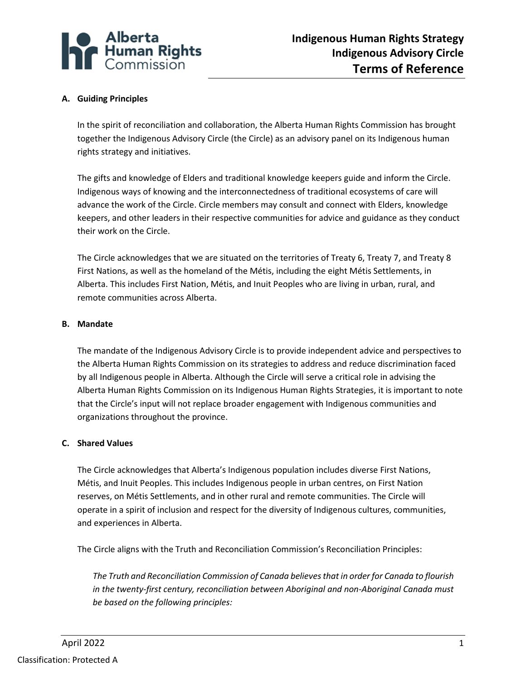

## **A. Guiding Principles**

In the spirit of reconciliation and collaboration, the Alberta Human Rights Commission has brought together the Indigenous Advisory Circle (the Circle) as an advisory panel on its Indigenous human rights strategy and initiatives.

The gifts and knowledge of Elders and traditional knowledge keepers guide and inform the Circle. Indigenous ways of knowing and the interconnectedness of traditional ecosystems of care will advance the work of the Circle. Circle members may consult and connect with Elders, knowledge keepers, and other leaders in their respective communities for advice and guidance as they conduct their work on the Circle.

The Circle acknowledges that we are situated on the territories of Treaty 6, Treaty 7, and Treaty 8 First Nations, as well as the homeland of the Métis, including the eight Métis Settlements, in Alberta. This includes First Nation, Métis, and Inuit Peoples who are living in urban, rural, and remote communities across Alberta.

#### **B. Mandate**

The mandate of the Indigenous Advisory Circle is to provide independent advice and perspectives to the Alberta Human Rights Commission on its strategies to address and reduce discrimination faced by all Indigenous people in Alberta. Although the Circle will serve a critical role in advising the Alberta Human Rights Commission on its Indigenous Human Rights Strategies, it is important to note that the Circle's input will not replace broader engagement with Indigenous communities and organizations throughout the province.

### **C. Shared Values**

The Circle acknowledges that Alberta's Indigenous population includes diverse First Nations, Métis, and Inuit Peoples. This includes Indigenous people in urban centres, on First Nation reserves, on Métis Settlements, and in other rural and remote communities. The Circle will operate in a spirit of inclusion and respect for the diversity of Indigenous cultures, communities, and experiences in Alberta.

The Circle aligns with the Truth and Reconciliation Commission's Reconciliation Principles:

*The Truth and Reconciliation Commission of Canada believes that in order for Canada to flourish in the twenty-first century, reconciliation between Aboriginal and non-Aboriginal Canada must be based on the following principles:*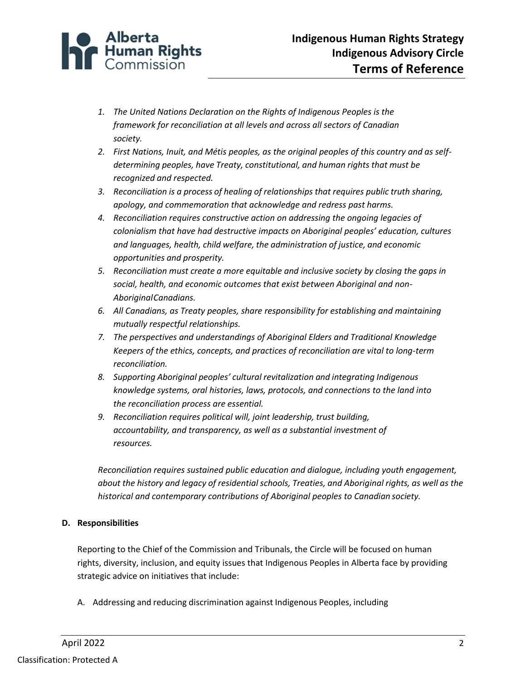

- *1. The United Nations Declaration on the Rights of Indigenous Peoples is the framework for reconciliation at all levels and across all sectors of Canadian society.*
- *2. First Nations, Inuit, and Métis peoples, as the original peoples of this country and as selfdetermining peoples, have Treaty, constitutional, and human rights that must be recognized and respected.*
- *3. Reconciliation is a process of healing of relationships that requires public truth sharing, apology, and commemoration that acknowledge and redress past harms.*
- *4. Reconciliation requires constructive action on addressing the ongoing legacies of colonialism that have had destructive impacts on Aboriginal peoples' education, cultures and languages, health, child welfare, the administration of justice, and economic opportunities and prosperity.*
- *5. Reconciliation must create a more equitable and inclusive society by closing the gaps in social, health, and economic outcomes that exist between Aboriginal and non-AboriginalCanadians.*
- *6. All Canadians, as Treaty peoples, share responsibility for establishing and maintaining mutually respectful relationships.*
- *7. The perspectives and understandings of Aboriginal Elders and Traditional Knowledge Keepers of the ethics, concepts, and practices of reconciliation are vital to long-term reconciliation.*
- *8. Supporting Aboriginal peoples' cultural revitalization and integrating Indigenous knowledge systems, oral histories, laws, protocols, and connections to the land into the reconciliation process are essential.*
- *9. Reconciliation requires political will, joint leadership, trust building, accountability, and transparency, as well as a substantial investment of resources.*

*Reconciliation requires sustained public education and dialogue, including youth engagement, about the history and legacy of residential schools, Treaties, and Aboriginal rights, as well as the historical and contemporary contributions of Aboriginal peoples to Canadian society.*

# **D. Responsibilities**

Reporting to the Chief of the Commission and Tribunals, the Circle will be focused on human rights, diversity, inclusion, and equity issues that Indigenous Peoples in Alberta face by providing strategic advice on initiatives that include:

A. Addressing and reducing discrimination against Indigenous Peoples, including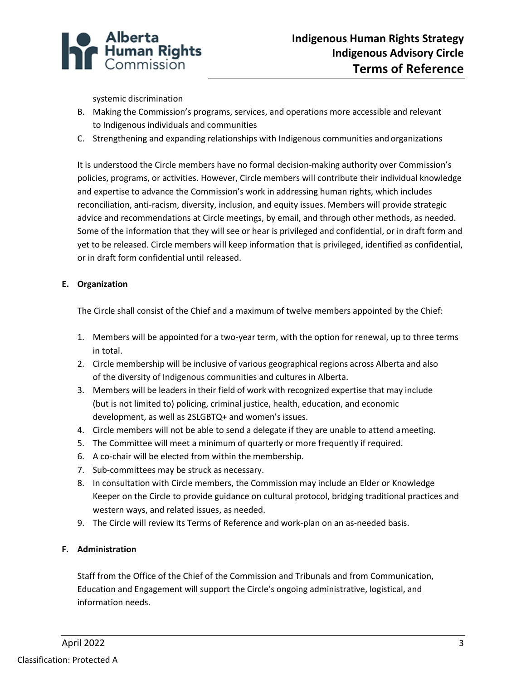

systemic discrimination

- B. Making the Commission's programs, services, and operations more accessible and relevant to Indigenous individuals and communities
- C. Strengthening and expanding relationships with Indigenous communities and organizations

It is understood the Circle members have no formal decision-making authority over Commission's policies, programs, or activities. However, Circle members will contribute their individual knowledge and expertise to advance the Commission's work in addressing human rights, which includes reconciliation, anti-racism, diversity, inclusion, and equity issues. Members will provide strategic advice and recommendations at Circle meetings, by email, and through other methods, as needed. Some of the information that they will see or hear is privileged and confidential, or in draft form and yet to be released. Circle members will keep information that is privileged, identified as confidential, or in draft form confidential until released.

## **E. Organization**

The Circle shall consist of the Chief and a maximum of twelve members appointed by the Chief:

- 1. Members will be appointed for a two-year term, with the option for renewal, up to three terms in total.
- 2. Circle membership will be inclusive of various geographical regions across Alberta and also of the diversity of Indigenous communities and cultures in Alberta.
- 3. Members will be leaders in their field of work with recognized expertise that may include (but is not limited to) policing, criminal justice, health, education, and economic development, as well as 2SLGBTQ+ and women's issues.
- 4. Circle members will not be able to send a delegate if they are unable to attend ameeting.
- 5. The Committee will meet a minimum of quarterly or more frequently if required.
- 6. A co-chair will be elected from within the membership.
- 7. Sub-committees may be struck as necessary.
- 8. In consultation with Circle members, the Commission may include an Elder or Knowledge Keeper on the Circle to provide guidance on cultural protocol, bridging traditional practices and western ways, and related issues, as needed.
- 9. The Circle will review its Terms of Reference and work-plan on an as-needed basis.

### **F. Administration**

Staff from the Office of the Chief of the Commission and Tribunals and from Communication, Education and Engagement will support the Circle's ongoing administrative, logistical, and information needs.